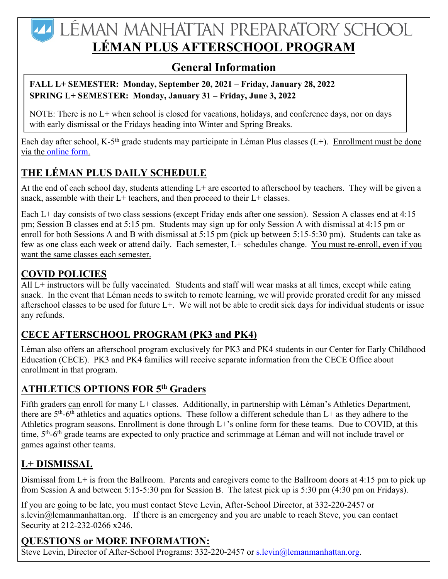# **44 LÉMAN MANHATTAN PREPARATORY SCHOOL LÉMAN PLUS AFTERSCHOOL PROGRAM**

## **General Information**

#### **FALL L+ SEMESTER: Monday, September 20, 2021 – Friday, January 28, 2022 SPRING L+ SEMESTER: Monday, January 31 – Friday, June 3, 2022**

NOTE: There is no L+ when school is closed for vacations, holidays, and conference days, nor on days with early dismissal or the Fridays heading into Winter and Spring Breaks.

Each day after school, K-5<sup>th</sup> grade students may participate in Léman Plus classes (L+). Enrollment must be done via the online form.

## **THE LÉMAN PLUS DAILY SCHEDULE**

At the end of each school day, students attending L+ are escorted to afterschool by teachers. They will be given a snack, assemble with their  $L+$  teachers, and then proceed to their  $L+$  classes.

Each L+ day consists of two class sessions (except Friday ends after one session). Session A classes end at 4:15 pm; Session B classes end at 5:15 pm. Students may sign up for only Session A with dismissal at 4:15 pm or enroll for both Sessions A and B with dismissal at 5:15 pm (pick up between 5:15-5:30 pm). Students can take as few as one class each week or attend daily. Each semester, L+ schedules change. You must re-enroll, even if you want the same classes each semester.

### **COVID POLICIES**

All L+ instructors will be fully vaccinated. Students and staff will wear masks at all times, except while eating snack. In the event that Léman needs to switch to remote learning, we will provide prorated credit for any missed afterschool classes to be used for future L+. We will not be able to credit sick days for individual students or issue any refunds.

## **CECE AFTERSCHOOL PROGRAM (PK3 and PK4)**

Léman also offers an afterschool program exclusively for PK3 and PK4 students in our Center for Early Childhood Education (CECE). PK3 and PK4 families will receive separate information from the CECE Office about enrollment in that program.

## **ATHLETICS OPTIONS FOR 5th Graders**

Fifth graders can enroll for many L+ classes. Additionally, in partnership with Léman's Athletics Department, there are  $5<sup>th</sup>$ -6<sup>th</sup> athletics and aquatics options. These follow a different schedule than L+ as they adhere to the Athletics program seasons. Enrollment is done through L+'s online form for these teams. Due to COVID, at this time, 5<sup>th</sup>-6<sup>th</sup> grade teams are expected to only practice and scrimmage at Léman and will not include travel or games against other teams.

## **L+ DISMISSAL**

Dismissal from L+ is from the Ballroom. Parents and caregivers come to the Ballroom doors at 4:15 pm to pick up from Session A and between 5:15-5:30 pm for Session B. The latest pick up is 5:30 pm (4:30 pm on Fridays).

If you are going to be late, you must contact Steve Levin, After-School Director, at 332-220-2457 or s.levin $@$ lemanmanhattan.org. If there is an emergency and you are unable to reach Steve, you can contact Security at 212-232-0266 x246.

## **QUESTIONS or MORE INFORMATION:**

Steve Levin, Director of After-School Programs: 332-220-2457 or s.levin@lemanmanhattan.org.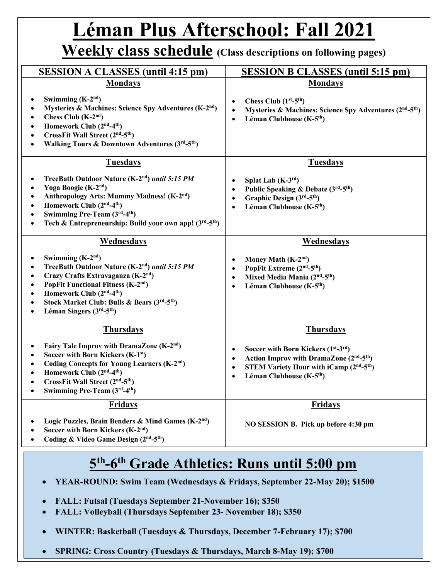# **Léman Plus Afterschool: Fall 2021**

## **Weekly class schedule (Class descriptions on following pages)**

| <b>SESSION A CLASSES (until 4:15 pm)</b>                                                                                                                                                                                                                                                                                                 | <b>SESSION B CLASSES (until 5:15 pm)</b>                                                                                                                                                                                                                                  |
|------------------------------------------------------------------------------------------------------------------------------------------------------------------------------------------------------------------------------------------------------------------------------------------------------------------------------------------|---------------------------------------------------------------------------------------------------------------------------------------------------------------------------------------------------------------------------------------------------------------------------|
| <b>Mondays</b><br>Swimming $(K-2nd)$<br>Mysteries & Machines: Science Spy Adventures (K-2 <sup>nd</sup> )<br>Chess Club $(K-2nd)$<br>Homework Club (2 <sup>nd</sup> -4 <sup>th</sup> )<br>CrossFit Wall Street (2 <sup>nd</sup> -5 <sup>th</sup> )<br>Walking Tours & Downtown Adventures (3rd-5th)                                      | <b>Mondays</b><br>Chess Club $(1st - 5th)$<br>Mysteries & Machines: Science Spy Adventures (2 <sup>nd</sup> -5 <sup>th</sup> )<br>Léman Clubhouse (K-5 <sup>th</sup> )<br>$\bullet$                                                                                       |
| <b>Tuesdays</b><br>TreeBath Outdoor Nature (K-2nd) until 5:15 PM<br>Yoga Boogie (K-2 <sup>nd</sup> )<br>$\bullet$<br>Anthropology Arts: Mummy Madness! (K-2 <sup>nd</sup> )<br>Homework Club (2 <sup>nd</sup> -4 <sup>th</sup> )<br>Swimming Pre-Team (3rd-4th)<br>Tech & Entrepreneurship: Build your own app! $(3rd-5th)$<br>$\bullet$ | <b>Tuesdays</b><br>Splat Lab $(K-3^{rd})$<br>Public Speaking & Debate (3rd-5 <sup>th</sup> )<br>Graphic Design $(3rd-5th)$<br>Léman Clubhouse (K-5 <sup>th</sup> )<br>$\bullet$                                                                                           |
| Wednesdays<br>Swimming $(K-2nd)$<br>TreeBath Outdoor Nature (K-2nd) until 5:15 PM<br>Crazy Crafts Extravaganza (K-2 <sup>nd</sup> )<br>PopFit Functional Fitness (K-2 <sup>nd</sup> )<br>Homework Club (2 <sup>nd</sup> -4 <sup>th</sup> )<br>Stock Market Club: Bulls & Bears (3rd-5th)<br>Léman Singers $(3rd-5th)$                    | Wednesdays<br>Money Math $(K-2nd)$<br>PopFit Extreme (2 <sup>nd</sup> -5 <sup>th</sup> )<br>Mixed Media Mania (2 <sup>nd</sup> -5 <sup>th</sup> )<br>$\bullet$<br>Léman Clubhouse (K-5 <sup>th</sup> )<br>$\bullet$                                                       |
| <b>Thursdays</b><br>Fairy Tale Improv with DramaZone (K-2 <sup>nd</sup> )<br>Soccer with Born Kickers (K-1 <sup>st</sup> )<br>Coding Concepts for Young Learners (K-2 <sup>nd</sup> )<br>Homework Club (2 <sup>nd</sup> -4 <sup>th</sup> )<br>CrossFit Wall Street (2 <sup>nd</sup> -5 <sup>th</sup> )<br>Swimming Pre-Team (3rd-4th)    | <b>Thursdays</b><br>Soccer with Born Kickers $(1st-3rd)$<br>$\bullet$<br>Action Improv with DramaZone (2 <sup>nd</sup> -5 <sup>th</sup> )<br>$\bullet$<br><b>STEM Variety Hour with iCamp (2nd-5th)</b><br>$\bullet$<br>Léman Clubhouse (K-5 <sup>th</sup> )<br>$\bullet$ |
| <b>Fridays</b><br>Logic Puzzles, Brain Benders & Mind Games (K-2 <sup>nd</sup> )<br>Soccer with Born Kickers (K-2 <sup>nd</sup> )<br>Coding & Video Game Design (2nd-5th)                                                                                                                                                                | <b>Fridays</b><br>NO SESSION B. Pick up before 4:30 pm                                                                                                                                                                                                                    |

# **5th-6th Grade Athletics: Runs until 5:00 pm**

- **YEAR-ROUND: Swim Team (Wednesdays & Fridays, September 22-May 20); \$1500**
- **FALL: Futsal (Tuesdays September 21-November 16); \$350**
- **FALL: Volleyball (Thursdays September 23- November 18); \$350**
- **WINTER: Basketball (Tuesdays & Thursdays, December 7-February 17); \$700**
- **SPRING: Cross Country (Tuesdays & Thursdays, March 8-May 19); \$700**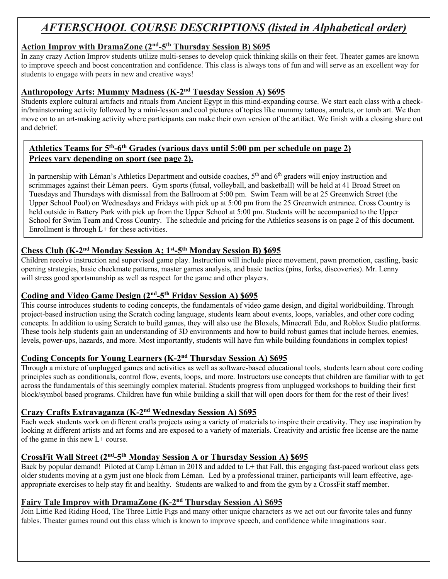## *AFTERSCHOOL COURSE DESCRIPTIONS (listed in Alphabetical order)*

#### **Action Improv with DramaZone (2nd-5th Thursday Session B) \$695**

In zany crazy Action Improv students utilize multi-senses to develop quick thinking skills on their feet. Theater games are known to improve speech and boost concentration and confidence. This class is always tons of fun and will serve as an excellent way for students to engage with peers in new and creative ways!

#### **Anthropology Arts: Mummy Madness (K-2nd Tuesday Session A) \$695**

Students explore cultural artifacts and rituals from Ancient Egypt in this mind-expanding course. We start each class with a checkin/brainstorming activity followed by a mini-lesson and cool pictures of topics like mummy tattoos, amulets, or tomb art. We then move on to an art-making activity where participants can make their own version of the artifact. We finish with a closing share out and debrief.

#### **Athletics Teams for 5th-6th Grades (various days until 5:00 pm per schedule on page 2) Prices vary depending on sport (see page 2).**

In partnership with Léman's Athletics Department and outside coaches, 5<sup>th</sup> and 6<sup>th</sup> graders will enjoy instruction and scrimmages against their Léman peers. Gym sports (futsal, volleyball, and basketball) will be held at 41 Broad Street on Tuesdays and Thursdays with dismissal from the Ballroom at 5:00 pm. Swim Team will be at 25 Greenwich Street (the Upper School Pool) on Wednesdays and Fridays with pick up at 5:00 pm from the 25 Greenwich entrance. Cross Country is held outside in Battery Park with pick up from the Upper School at 5:00 pm. Students will be accompanied to the Upper School for Swim Team and Cross Country. The schedule and pricing for the Athletics seasons is on page 2 of this document. Enrollment is through L+ for these activities.

#### **Chess Club (K-2nd Monday Session A; 1st-5th Monday Session B) \$695**

Children receive instruction and supervised game play. Instruction will include piece movement, pawn promotion, castling, basic opening strategies, basic checkmate patterns, master games analysis, and basic tactics (pins, forks, discoveries). Mr. Lenny will stress good sportsmanship as well as respect for the game and other players.

#### **Coding and Video Game Design (2nd-5th Friday Session A) \$695**

This course introduces students to coding concepts, the fundamentals of video game design, and digital worldbuilding. Through project-based instruction using the Scratch coding language, students learn about events, loops, variables, and other core coding concepts. In addition to using Scratch to build games, they will also use the Bloxels, Minecraft Edu, and Roblox Studio platforms. These tools help students gain an understanding of 3D environments and how to build robust games that include heroes, enemies, levels, power-ups, hazards, and more. Most importantly, students will have fun while building foundations in complex topics!

#### **Coding Concepts for Young Learners (K-2nd Thursday Session A) \$695**

Through a mixture of unplugged games and activities as well as software-based educational tools, students learn about core coding principles such as conditionals, control flow, events, loops, and more. Instructors use concepts that children are familiar with to get across the fundamentals of this seemingly complex material. Students progress from unplugged workshops to building their first block/symbol based programs. Children have fun while building a skill that will open doors for them for the rest of their lives!

#### **Crazy Crafts Extravaganza (K-2nd Wednesday Session A) \$695**

Each week students work on different crafts projects using a variety of materials to inspire their creativity. They use inspiration by looking at different artists and art forms and are exposed to a variety of materials. Creativity and artistic free license are the name of the game in this new L+ course.

#### **CrossFit Wall Street (2nd-5th Monday Session A or Thursday Session A) \$695**

Back by popular demand! Piloted at Camp Léman in 2018 and added to L+ that Fall, this engaging fast-paced workout class gets older students moving at a gym just one block from Léman. Led by a professional trainer, participants will learn effective, ageappropriate exercises to help stay fit and healthy. Students are walked to and from the gym by a CrossFit staff member.

#### **Fairy Tale Improv with DramaZone (K-2nd Thursday Session A) \$695**

Join Little Red Riding Hood, The Three Little Pigs and many other unique characters as we act out our favorite tales and funny fables. Theater games round out this class which is known to improve speech, and confidence while imaginations soar.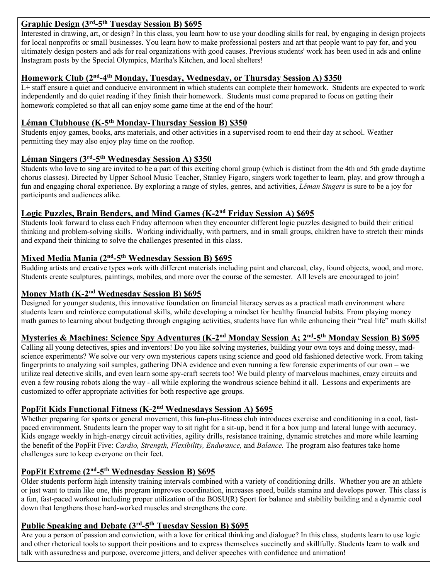#### **Graphic Design (3rd-5th Tuesday Session B) \$695**

Interested in drawing, art, or design? In this class, you learn how to use your doodling skills for real, by engaging in design projects for local nonprofits or small businesses. You learn how to make professional posters and art that people want to pay for, and you ultimately design posters and ads for real organizations with good causes. Previous students' work has been used in ads and online Instagram posts by the Special Olympics, Martha's Kitchen, and local shelters!

#### **Homework Club (2nd-4th Monday, Tuesday, Wednesday, or Thursday Session A) \$350**

L+ staff ensure a quiet and conducive environment in which students can complete their homework. Students are expected to work independently and do quiet reading if they finish their homework. Students must come prepared to focus on getting their homework completed so that all can enjoy some game time at the end of the hour!

#### **Léman Clubhouse (K-5th Monday-Thursday Session B) \$350**

Students enjoy games, books, arts materials, and other activities in a supervised room to end their day at school. Weather permitting they may also enjoy play time on the rooftop.

#### **Léman Singers (3rd-5th Wednesday Session A) \$350**

Students who love to sing are invited to be a part of this exciting choral group (which is distinct from the 4th and 5th grade daytime chorus classes). Directed by Upper School Music Teacher, Stanley Figaro, singers work together to learn, play, and grow through a fun and engaging choral experience. By exploring a range of styles, genres, and activities, *Léman Singers* is sure to be a joy for participants and audiences alike.

#### **Logic Puzzles, Brain Benders, and Mind Games (K-2nd Friday Session A) \$695**

Students look forward to class each Friday afternoon when they encounter different logic puzzles designed to build their critical thinking and problem-solving skills. Working individually, with partners, and in small groups, children have to stretch their minds and expand their thinking to solve the challenges presented in this class.

#### **Mixed Media Mania (2nd-5th Wednesday Session B) \$695**

Budding artists and creative types work with different materials including paint and charcoal, clay, found objects, wood, and more. Students create sculptures, paintings, mobiles, and more over the course of the semester. All levels are encouraged to join!

#### **Money Math (K-2nd Wednesday Session B) \$695**

Designed for younger students, this innovative foundation on financial literacy serves as a practical math environment where students learn and reinforce computational skills, while developing a mindset for healthy financial habits. From playing money math games to learning about budgeting through engaging activities, students have fun while enhancing their "real life" math skills!

#### **Mysteries & Machines: Science Spy Adventures (K-2nd Monday Session A; 2nd-5th Monday Session B) \$695**

Calling all young detectives, spies and inventors! Do you like solving mysteries, building your own toys and doing messy, madscience experiments? We solve our very own mysterious capers using science and good old fashioned detective work. From taking fingerprints to analyzing soil samples, gathering DNA evidence and even running a few forensic experiments of our own – we utilize real detective skills, and even learn some spy-craft secrets too! We build plenty of marvelous machines, crazy circuits and even a few rousing robots along the way - all while exploring the wondrous science behind it all. Lessons and experiments are customized to offer appropriate activities for both respective age groups.

#### **PopFit Kids Functional Fitness (K-2nd Wednesdays Session A) \$695**

Whether preparing for sports or general movement, this fun-plus-fitness club introduces exercise and conditioning in a cool, fastpaced environment. Students learn the proper way to sit right for a sit-up, bend it for a box jump and lateral lunge with accuracy. Kids engage weekly in high-energy circuit activities, agility drills, resistance training, dynamic stretches and more while learning the benefit of the PopFit Five: *Cardio, Strength, Flexibility, Endurance,* and *Balance.* The program also features take home challenges sure to keep everyone on their feet.

#### **PopFit Extreme (2nd-5th Wednesday Session B) \$695**

Older students perform high intensity training intervals combined with a variety of conditioning drills. Whether you are an athlete or just want to train like one, this program improves coordination, increases speed, builds stamina and develops power. This class is a fun, fast-paced workout including proper utilization of the BOSU(R) Sport for balance and stability building and a dynamic cool down that lengthens those hard-worked muscles and strengthens the core.

#### **Public Speaking and Debate (3rd-5th Tuesday Session B) \$695**

Are you a person of passion and conviction, with a love for critical thinking and dialogue? In this class, students learn to use logic and other rhetorical tools to support their positions and to express themselves succinctly and skillfully. Students learn to walk and talk with assuredness and purpose, overcome jitters, and deliver speeches with confidence and animation!